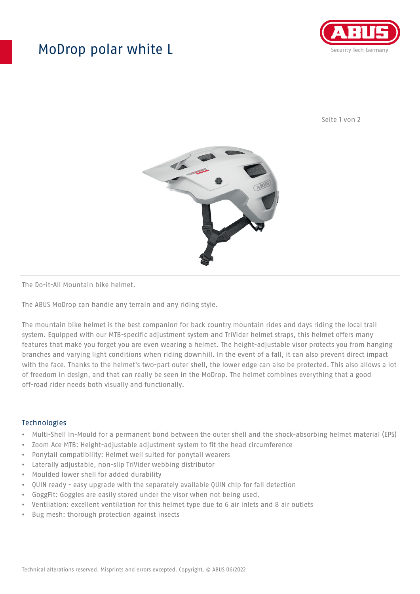## MoDrop polar white L



Seite 1 von 2



The Do-it-All Mountain bike helmet.

The ABUS MoDrop can handle any terrain and any riding style.

The mountain bike helmet is the best companion for back country mountain rides and days riding the local trail system. Equipped with our MTB-specific adjustment system and TriVider helmet straps, this helmet offers many features that make you forget you are even wearing a helmet. The height-adjustable visor protects you from hanging branches and varying light conditions when riding downhill. In the event of a fall, it can also prevent direct impact with the face. Thanks to the helmet's two-part outer shell, the lower edge can also be protected. This also allows a lot of freedom in design, and that can really be seen in the MoDrop. The helmet combines everything that a good off-road rider needs both visually and functionally.

## Technologies

- Multi-Shell In-Mould for a permanent bond between the outer shell and the shock-absorbing helmet material (EPS)
- Zoom Ace MTB: Height-adjustable adjustment system to fit the head circumference
- Ponytail compatibility: Helmet well suited for ponytail wearers
- Laterally adjustable, non-slip TriVider webbing distributor
- Moulded lower shell for added durability
- QUIN ready easy upgrade with the separately available QUIN chip for fall detection
- GoggFit: Goggles are easily stored under the visor when not being used.
- Ventilation: excellent ventilation for this helmet type due to 6 air inlets and 8 air outlets
- Bug mesh: thorough protection against insects